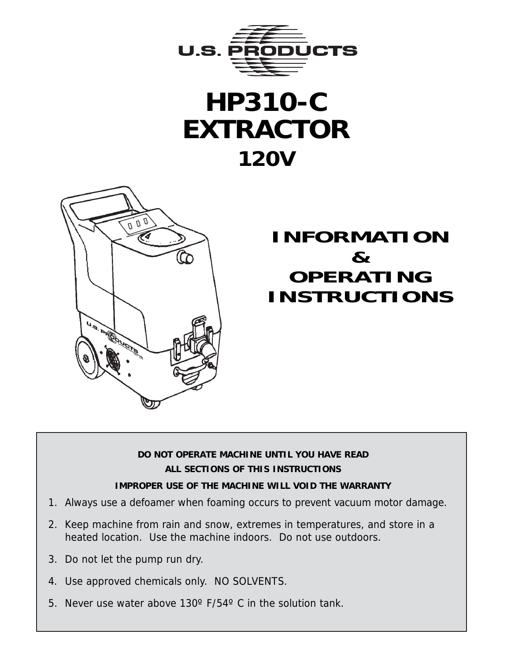





# **INFORMATION & OPERATING INSTRUCTIONS**

#### **DO NOT OPERATE MACHINE UNTIL YOU HAVE READ ALL SECTIONS OF THIS INSTRUCTIONS**

#### **IMPROPER USE OF THE MACHINE WILL VOID THE WARRANTY**

- 1. Always use a defoamer when foaming occurs to prevent vacuum motor damage.
- 2. Keep machine from rain and snow, extremes in temperatures, and store in a heated location. Use the machine indoors. Do not use outdoors.
- 3. Do not let the pump run dry.
- 4. Use approved chemicals only. NO SOLVENTS.
- 5. Never use water above 130º F/54º C in the solution tank.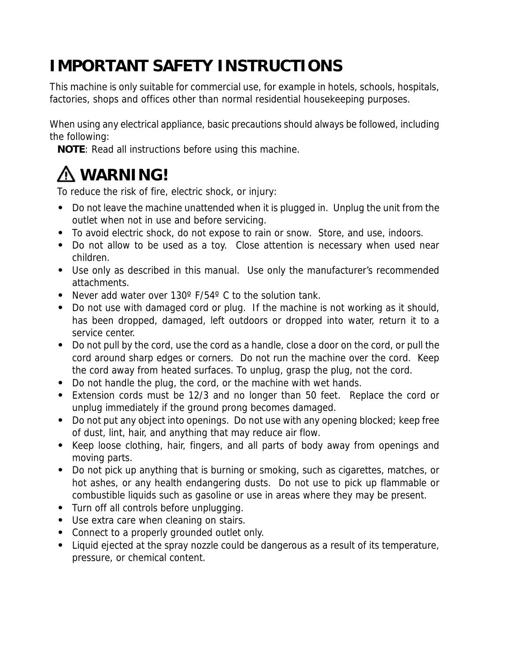# **IMPORTANT SAFETY INSTRUCTIONS**

This machine is only suitable for commercial use, for example in hotels, schools, hospitals, factories, shops and offices other than normal residential housekeeping purposes.

When using any electrical appliance, basic precautions should always be followed, including the following:

**NOTE**: Read all instructions before using this machine.

# **WARNING!**

To reduce the risk of fire, electric shock, or injury:

- **•** Do not leave the machine unattended when it is plugged in. Unplug the unit from the outlet when not in use and before servicing.
- **•** To avoid electric shock, do not expose to rain or snow. Store, and use, indoors.
- **•** Do not allow to be used as a toy. Close attention is necessary when used near children.
- **•** Use only as described in this manual. Use only the manufacturer's recommended attachments.
- **•** Never add water over 130º F/54º C to the solution tank.
- **•** Do not use with damaged cord or plug. If the machine is not working as it should, has been dropped, damaged, left outdoors or dropped into water, return it to a service center.
- **•** Do not pull by the cord, use the cord as a handle, close a door on the cord, or pull the cord around sharp edges or corners. Do not run the machine over the cord. Keep the cord away from heated surfaces. To unplug, grasp the plug, not the cord.
- **•** Do not handle the plug, the cord, or the machine with wet hands.
- **•** Extension cords must be 12/3 and no longer than 50 feet. Replace the cord or unplug immediately if the ground prong becomes damaged.
- **•** Do not put any object into openings. Do not use with any opening blocked; keep free of dust, lint, hair, and anything that may reduce air flow.
- **•** Keep loose clothing, hair, fingers, and all parts of body away from openings and moving parts.
- **•** Do not pick up anything that is burning or smoking, such as cigarettes, matches, or hot ashes, or any health endangering dusts. Do not use to pick up flammable or combustible liquids such as gasoline or use in areas where they may be present.
- **•** Turn off all controls before unplugging.
- **•** Use extra care when cleaning on stairs.
- **•** Connect to a properly grounded outlet only.
- **•** Liquid ejected at the spray nozzle could be dangerous as a result of its temperature, pressure, or chemical content.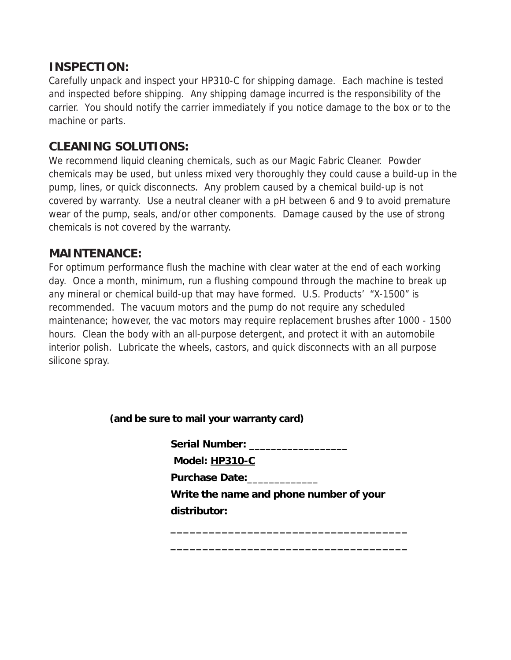#### **INSPECTION:**

Carefully unpack and inspect your HP310-C for shipping damage. Each machine is tested and inspected before shipping. Any shipping damage incurred is the responsibility of the carrier. You should notify the carrier immediately if you notice damage to the box or to the machine or parts.

#### **CLEANING SOLUTIONS:**

We recommend liquid cleaning chemicals, such as our Magic Fabric Cleaner. Powder chemicals may be used, but unless mixed very thoroughly they could cause a build-up in the pump, lines, or quick disconnects. Any problem caused by a chemical build-up is not covered by warranty. Use a neutral cleaner with a pH between 6 and 9 to avoid premature wear of the pump, seals, and/or other components. Damage caused by the use of strong chemicals is not covered by the warranty.

#### **MAINTENANCE:**

For optimum performance flush the machine with clear water at the end of each working day. Once a month, minimum, run a flushing compound through the machine to break up any mineral or chemical build-up that may have formed. U.S. Products' "X-1500" is recommended. The vacuum motors and the pump do not require any scheduled maintenance; however, the vac motors may require replacement brushes after 1000 - 1500 hours. Clean the body with an all-purpose detergent, and protect it with an automobile interior polish. Lubricate the wheels, castors, and quick disconnects with an all purpose silicone spray.

**(and be sure to mail your warranty card)**

**Serial Number:** \_\_\_\_\_\_\_\_\_\_\_\_\_\_\_\_\_\_

 **Model: HP310-C**

**Purchase Date:**\_\_\_\_\_\_\_\_\_\_\_\_\_

**Write the name and phone number of your distributor:**

**\_\_\_\_\_\_\_\_\_\_\_\_\_\_\_\_\_\_\_\_\_\_\_\_\_\_\_\_\_\_\_\_\_\_\_\_\_**

**\_\_\_\_\_\_\_\_\_\_\_\_\_\_\_\_\_\_\_\_\_\_\_\_\_\_\_\_\_\_\_\_\_\_\_\_\_**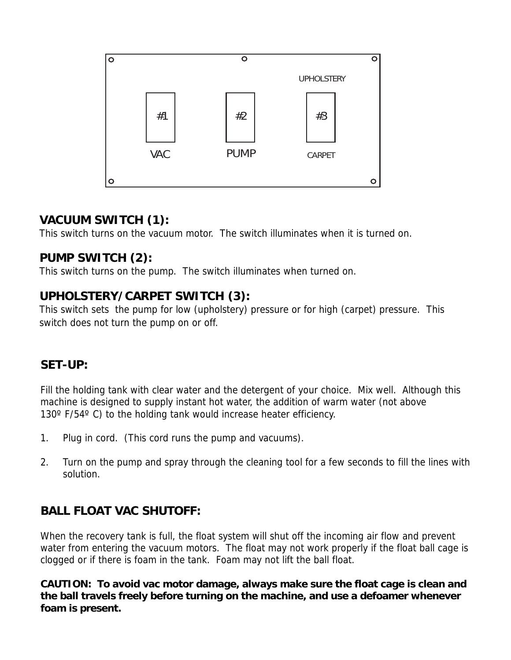

#### **VACUUM SWITCH (1):**

This switch turns on the vacuum motor. The switch illuminates when it is turned on.

#### **PUMP SWITCH (2):**

This switch turns on the pump. The switch illuminates when turned on.

#### **UPHOLSTERY/CARPET SWITCH (3):**

This switch sets the pump for low (upholstery) pressure or for high (carpet) pressure. This switch does not turn the pump on or off.

#### **SET-UP:**

Fill the holding tank with clear water and the detergent of your choice. Mix well. Although this machine is designed to supply instant hot water, the addition of warm water (not above 130° F/54° C) to the holding tank would increase heater efficiency.

- 1. Plug in cord. (This cord runs the pump and vacuums).
- 2. Turn on the pump and spray through the cleaning tool for a few seconds to fill the lines with solution.

#### **BALL FLOAT VAC SHUTOFF:**

When the recovery tank is full, the float system will shut off the incoming air flow and prevent water from entering the vacuum motors. The float may not work properly if the float ball cage is clogged or if there is foam in the tank. Foam may not lift the ball float.

**CAUTION: To avoid vac motor damage, always make sure the float cage is clean and the ball travels freely before turning on the machine, and use a defoamer whenever foam is present.**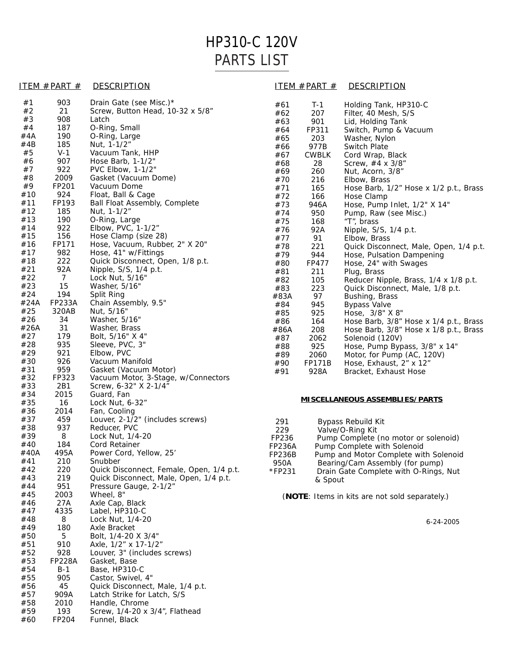## HP310-C 120V PARTS LIST

#### ITEM #PART # DESCRIPTION ITEM #PART # DESCRIPTION

| #1   | 903           | Drain Gate (see Misc.)*                  |
|------|---------------|------------------------------------------|
| #2   | 21            | Screw, Button Head, 10-32 x 5/8"         |
| #3   | 908           | Latch                                    |
| #4   | 187           | O-Ring, Small                            |
| #4A  | 190           | O-Ring, Large                            |
| #4B  | 185           | Nut, 1-1/2"                              |
| #5   | $V-1$         | Vacuum Tank, HHP                         |
|      | 907           |                                          |
| #6   |               | Hose Barb, 1-1/2"                        |
| #7   | 922           | PVC Elbow, 1-1/2"                        |
| #8   | 2009          | Gasket (Vacuum Dome)                     |
| #9   | FP201         | Vacuum Dome                              |
| #10  | 924           | Float, Ball & Cage                       |
| #11  | FP193         | Ball Float Assembly, Complete            |
| #12  | 185           | Nut, 1-1/2"                              |
| #13  | 190           | O-Ring, Large                            |
| #14  | 922           | Elbow, PVC, 1-1/2"                       |
| #15  | 156           | Hose Clamp (size 28)                     |
| #16  | FP171         | Hose, Vacuum, Rubber, 2" X 20"           |
|      |               |                                          |
| #17  | 982           | Hose, 41" w/Fittings                     |
| #18  | 222           | Quick Disconnect, Open, 1/8 p.t.         |
| #21  | 92A           | Nipple, S/S, 1/4 p.t.                    |
| #22  | 7             | Lock Nut, 5/16"                          |
| #23  | 15            | Washer, 5/16"                            |
| #24  | 194           | Split Ring                               |
| #24A | <b>FP233A</b> | Chain Assembly, 9.5"                     |
| #25  | 320AB         | Nut, 5/16"                               |
| #26  | 34            | Washer, 5/16"                            |
| #26A | 31            | Washer, Brass                            |
| #27  | 179           |                                          |
|      |               | Bolt, 5/16" X 4"                         |
| #28  | 935           | Sleeve, PVC, 3"                          |
| #29  | 921           | Elbow, PVC                               |
| #30  | 926           | Vacuum Manifold                          |
| #31  | 959           | Gasket (Vacuum Motor)                    |
| #32  | FP323         | Vacuum Motor, 3-Stage, w/Connectors      |
| #33  | 2B1           | Screw, 6-32" X 2-1/4"                    |
| #34  | 2015          | Guard, Fan                               |
| #35  | 16            | Lock Nut, 6-32"                          |
| #36  | 2014          | Fan, Cooling                             |
| #37  | 459           | Louver, 2-1/2" (includes screws)         |
| #38  | 937           | Reducer, PVC                             |
| #39  | 8             | Lock Nut, 1/4-20                         |
|      | 184           | <b>Cord Retainer</b>                     |
| #40  |               |                                          |
| #40A | 495A          | Power Cord, Yellow, 25'                  |
| #41  | 210           | Snubber                                  |
| #42  | 220           | Quick Disconnect, Female, Open, 1/4 p.t. |
| #43  | 219           | Quick Disconnect, Male, Open, 1/4 p.t.   |
| #44  | 951           | Pressure Gauge, 2-1/2"                   |
| #45  | 2003          | Wheel, 8"                                |
| #46  | 27A           | Axle Cap, Black                          |
| #47  | 4335          | Label, HP310-C                           |
| #48  | 8             | Lock Nut, 1/4-20                         |
| #49  | 180           | Axle Bracket                             |
| #50  | 5             | Bolt, 1/4-20 X 3/4"                      |
| #51  | 910           | Axle, 1/2" x 17-1/2"                     |
| #52  | 928           | Louver, 3" (includes screws)             |
|      |               |                                          |
| #53  | <b>FP228A</b> | Gasket, Base                             |
| #54  | $B-1$         | Base, HP310-C                            |
| #55  | 905           | Castor, Swivel, 4"                       |
| #56  | 45            | Quick Disconnect, Male, 1/4 p.t.         |
| #57  | 909A          | Latch Strike for Latch, S/S              |
| #58  | 2010          | Handle, Chrome                           |
| #59  | 193           | Screw, 1/4-20 x 3/4", Flathead           |
| #60  | FP204         | Funnel, Black                            |

|      | <u>.</u>      | <b>DESONII LION</b>                    |
|------|---------------|----------------------------------------|
| #61  | $T-1$         | Holding Tank, HP310-C                  |
| #62  | 207           | Filter, 40 Mesh, S/S                   |
| #63  | 901           | Lid, Holding Tank                      |
| #64  | FP311         | Switch, Pump & Vacuum                  |
| #65  | 203           | Washer, Nylon                          |
| #66  | 977B          | <b>Switch Plate</b>                    |
| #67  | <b>CWBLK</b>  | Cord Wrap, Black                       |
| #68  | 28            | Screw, #4 x 3/8"                       |
| #69  | 260           | Nut, Acorn, 3/8"                       |
| #70  | 216           | Elbow, Brass                           |
| #71  | 165           | Hose Barb, 1/2" Hose x 1/2 p.t., Brass |
| #72  | 166           | Hose Clamp                             |
| #73  | 946A          | Hose, Pump Inlet, 1/2" X 14"           |
| #74  | 950           | Pump, Raw (see Misc.)                  |
| #75  | 168           | "T", brass                             |
| #76  | 92A           | Nipple, S/S, 1/4 p.t.                  |
| #77  | 91            | Elbow, Brass                           |
| #78  | 221           | Quick Disconnect, Male, Open, 1/4 p.t. |
| #79  | 944           | Hose, Pulsation Dampening              |
| #80  | FP477         | Hose, 24" with Swages                  |
| #81  | 211           | Plug, Brass                            |
| #82  | 105           | Reducer Nipple, Brass, 1/4 x 1/8 p.t.  |
| #83  | 223           | Quick Disconnect, Male, 1/8 p.t.       |
| #83A | 97            | Bushing, Brass                         |
| #84  | 945           | <b>Bypass Valve</b>                    |
| #85  | 925           | Hose, 3/8" X 8"                        |
| #86  | 164           | Hose Barb, 3/8" Hose x 1/4 p.t., Brass |
| #86A | 208           | Hose Barb, 3/8" Hose x 1/8 p.t., Brass |
| #87  | 2062          | Solenoid (120V)                        |
| #88  | 925           | Hose, Pump Bypass, 3/8" x 14"          |
| #89  | 2060          | Motor, for Pump (AC, 120V)             |
| #90  | <b>FP171B</b> | Hose, Exhaust, 2" x 12"                |
| #91  | 928A          | Bracket, Exhaust Hose                  |

#### **MISCELLANEOUS ASSEMBLIES/PARTS**

| 291           | <b>Bypass Rebuild Kit</b>             |
|---------------|---------------------------------------|
| 229           | Valve/O-Ring Kit                      |
| FP236         | Pump Complete (no motor or solenoid)  |
| <b>FP236A</b> | Pump Complete with Solenoid           |
| <b>FP236B</b> | Pump and Motor Complete with Solenoid |
| 950A          | Bearing/Cam Assembly (for pump)       |
| *FP231        | Drain Gate Complete with O-Rings, Nut |
|               | & Spout                               |
|               |                                       |

(**NOTE**: Items in kits are not sold separately.)

6-24-2005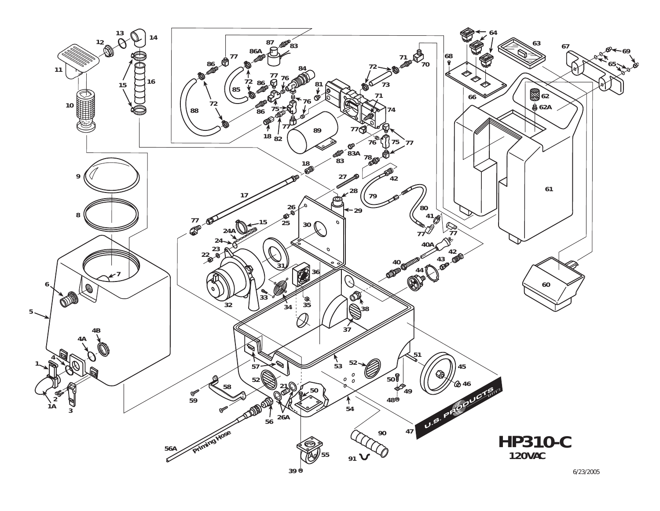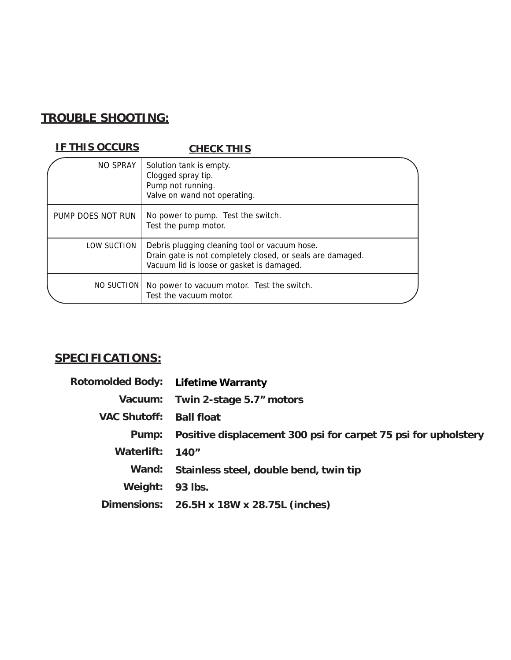### **TROUBLE SHOOTING:**

#### **IF THIS OCCURS CHECK THIS**

| NO SPRAY          | Solution tank is empty.<br>Clogged spray tip.<br>Pump not running.<br>Valve on wand not operating.                                                       |  |
|-------------------|----------------------------------------------------------------------------------------------------------------------------------------------------------|--|
| PUMP DOES NOT RUN | No power to pump. Test the switch.<br>Test the pump motor.                                                                                               |  |
| LOW SUCTION       | Debris plugging cleaning tool or vacuum hose.<br>Drain gate is not completely closed, or seals are damaged.<br>Vacuum lid is loose or gasket is damaged. |  |
| NO SUCTION        | No power to vacuum motor. Test the switch.<br>Test the vacuum motor.                                                                                     |  |

### **SPECIFICATIONS:**

| Rotomolded Body: Lifetime Warranty |                                                                |
|------------------------------------|----------------------------------------------------------------|
|                                    | Vacuum: Twin 2-stage 5.7" motors                               |
| <b>VAC Shutoff: Ball float</b>     |                                                                |
| Pump:                              | Positive displacement 300 psi for carpet 75 psi for upholstery |
| Waterlift: 140"                    |                                                                |
| Wand:                              | Stainless steel, double bend, twin tip                         |
| Weight:                            | 93 lbs.                                                        |
|                                    | Dimensions: 26.5H x 18W x 28.75L (inches)                      |